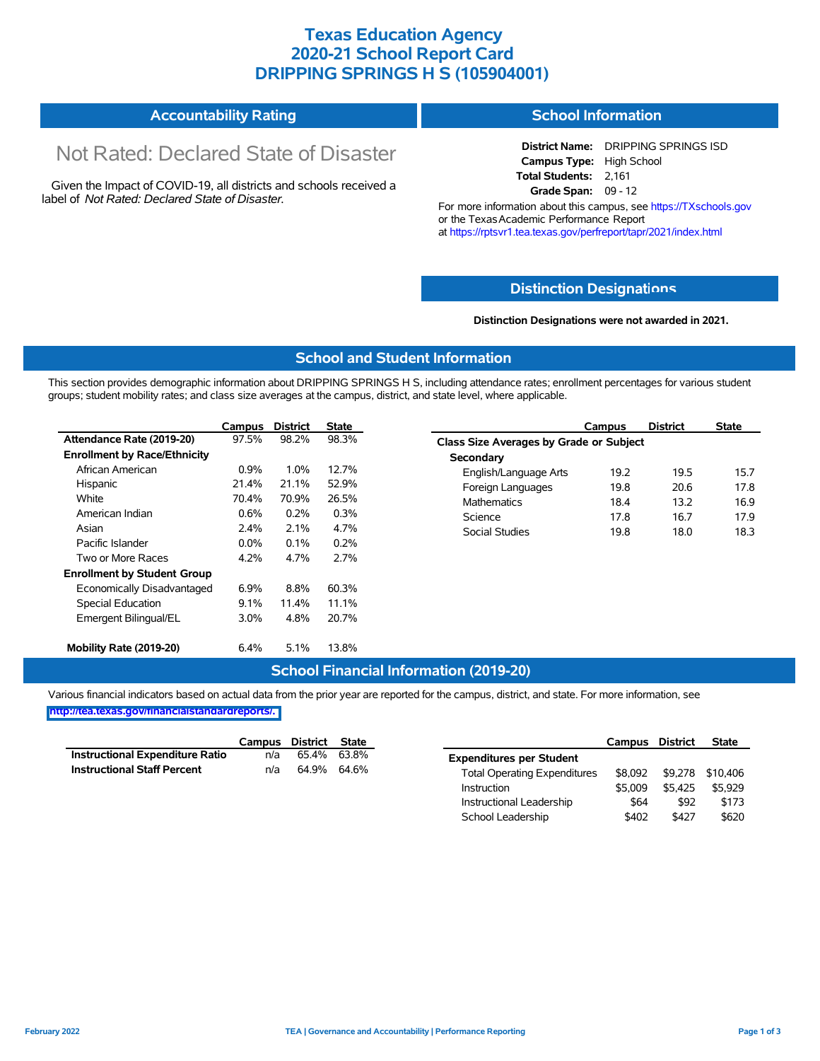### **Texas Education Agency 2020-21 School Report Card DRIPPING SPRINGS H S (105904001)**

#### **Accountability Rating School Information**

# Not Rated: Declared State of Disaster

Given the Impact of COVID-19, all districts and schools received a label of *Not Rated: Declared State of Disaster.*

**District Name:** DRIPPING SPRINGS ISD **Campus Type:** High School **Total Students:** 2,161 **Grade Span:** 09 - 12

For more information about this campus, see https://TXschools.gov or the Texas Academic Performance Report at https://rptsvr1.tea.texas.gov/perfreport/tapr/2021/index.html

#### **Distinction Designat[ions](https://TXschools.gov)**

**Distinction Designations were not awarded in 2021.**

School Leadership  $$402$  \$427 \$620

#### **School and Student Information**

This section provides demographic information about DRIPPING SPRINGS H S, including attendance rates; enrollment percentages for various student groups; student mobility rates; and class size averages at the campus, district, and state level, where applicable.

|                                     | Campus  | <b>District</b> | <b>State</b> | Campus                                         | <b>District</b> | <b>State</b> |  |  |  |  |  |
|-------------------------------------|---------|-----------------|--------------|------------------------------------------------|-----------------|--------------|--|--|--|--|--|
| Attendance Rate (2019-20)           | 97.5%   | 98.2%           | 98.3%        | <b>Class Size Averages by Grade or Subject</b> |                 |              |  |  |  |  |  |
| <b>Enrollment by Race/Ethnicity</b> |         |                 |              | Secondary                                      |                 |              |  |  |  |  |  |
| African American                    | 0.9%    | 1.0%            | 12.7%        | 19.2<br>English/Language Arts                  | 19.5            | 15.7         |  |  |  |  |  |
| Hispanic                            | 21.4%   | 21.1%           | 52.9%        | Foreign Languages<br>19.8                      | 20.6            | 17.8         |  |  |  |  |  |
| White                               | 70.4%   | 70.9%           | 26.5%        | <b>Mathematics</b><br>18.4                     | 13.2            | 16.9         |  |  |  |  |  |
| American Indian                     | 0.6%    | 0.2%            | 0.3%         | 17.8<br>Science                                | 16.7            | 17.9         |  |  |  |  |  |
| Asian                               | 2.4%    | 2.1%            | 4.7%         | Social Studies<br>19.8                         | 18.0            | 18.3         |  |  |  |  |  |
| Pacific Islander                    | $0.0\%$ | 0.1%            | 0.2%         |                                                |                 |              |  |  |  |  |  |
| Two or More Races                   | 4.2%    | 4.7%            | 2.7%         |                                                |                 |              |  |  |  |  |  |
| <b>Enrollment by Student Group</b>  |         |                 |              |                                                |                 |              |  |  |  |  |  |
| Economically Disadvantaged          | $6.9\%$ | 8.8%            | 60.3%        |                                                |                 |              |  |  |  |  |  |
| Special Education                   | 9.1%    | 11.4%           | 11.1%        |                                                |                 |              |  |  |  |  |  |
| Emergent Bilingual/EL               | 3.0%    | 4.8%            | 20.7%        |                                                |                 |              |  |  |  |  |  |
| Mobility Rate (2019-20)             | 6.4%    | 5.1%            | 13.8%        |                                                |                 |              |  |  |  |  |  |

#### **School Financial Information (2019-20)**

Various financial indicators based on actual data from the prior year are reported for the campus, district, and state. For more information, see

**[http://tea.texas.gov/financialstandardreports/.](http://tea.texas.gov/financialstandardreports/)**

|                                        | Campus | District    | State |                                     | Campus  | <b>District</b> | <b>State</b>     |
|----------------------------------------|--------|-------------|-------|-------------------------------------|---------|-----------------|------------------|
| <b>Instructional Expenditure Ratio</b> | n/a    | 65.4% 63.8% |       | <b>Expenditures per Student</b>     |         |                 |                  |
| <b>Instructional Staff Percent</b>     | n/a    | 64.9% 64.6% |       | <b>Total Operating Expenditures</b> | \$8.092 |                 | \$9,278 \$10,406 |
|                                        |        |             |       | Instruction                         | \$5.009 | \$5.425         | \$5.929          |
|                                        |        |             |       | Instructional Leadership            | \$64    | \$92            | \$173            |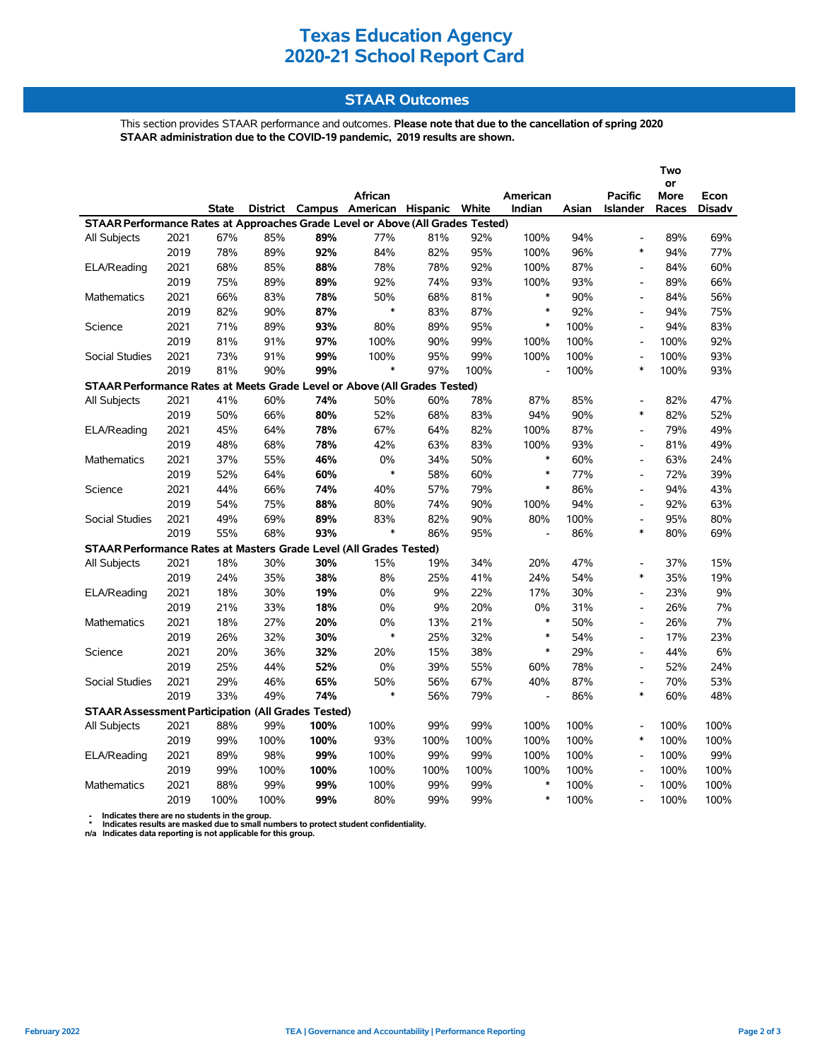### **Texas Education Agency 2020-21 School Report Card**

#### **STAAR Outcomes**

This section provides STAAR performance and outcomes. **Please note that due to the cancellation of spring 2020 STAAR administration due to the COVID-19 pandemic, 2019 results are shown.**

|                                                                                |      |              |      |      |                                         |      |      |                |       | Two<br>or                    |             |               |
|--------------------------------------------------------------------------------|------|--------------|------|------|-----------------------------------------|------|------|----------------|-------|------------------------------|-------------|---------------|
|                                                                                |      |              |      |      | African                                 |      |      | American       |       | <b>Pacific</b>               | <b>More</b> | Econ          |
|                                                                                |      | <b>State</b> |      |      | District Campus American Hispanic White |      |      | Indian         | Asian | <b>Islander</b>              | Races       | <b>Disadv</b> |
| STAAR Performance Rates at Approaches Grade Level or Above (All Grades Tested) |      |              |      |      |                                         |      |      |                |       |                              |             |               |
| All Subjects                                                                   | 2021 | 67%          | 85%  | 89%  | 77%                                     | 81%  | 92%  | 100%           | 94%   | $\overline{a}$               | 89%         | 69%           |
|                                                                                | 2019 | 78%          | 89%  | 92%  | 84%                                     | 82%  | 95%  | 100%           | 96%   | $\ast$                       | 94%         | 77%           |
| ELA/Reading                                                                    | 2021 | 68%          | 85%  | 88%  | 78%                                     | 78%  | 92%  | 100%           | 87%   | $\qquad \qquad \blacksquare$ | 84%         | 60%           |
|                                                                                | 2019 | 75%          | 89%  | 89%  | 92%                                     | 74%  | 93%  | 100%           | 93%   | $\blacksquare$               | 89%         | 66%           |
| Mathematics                                                                    | 2021 | 66%          | 83%  | 78%  | 50%                                     | 68%  | 81%  | $\ast$         | 90%   | $\overline{\phantom{a}}$     | 84%         | 56%           |
|                                                                                | 2019 | 82%          | 90%  | 87%  | $\ast$                                  | 83%  | 87%  | $\ast$         | 92%   | $\overline{a}$               | 94%         | 75%           |
| Science                                                                        | 2021 | 71%          | 89%  | 93%  | 80%                                     | 89%  | 95%  | $\ast$         | 100%  | $\overline{a}$               | 94%         | 83%           |
|                                                                                | 2019 | 81%          | 91%  | 97%  | 100%                                    | 90%  | 99%  | 100%           | 100%  | $\overline{\phantom{a}}$     | 100%        | 92%           |
| <b>Social Studies</b>                                                          | 2021 | 73%          | 91%  | 99%  | 100%                                    | 95%  | 99%  | 100%           | 100%  | $\overline{\phantom{a}}$     | 100%        | 93%           |
|                                                                                | 2019 | 81%          | 90%  | 99%  | $\ast$                                  | 97%  | 100% | L,             | 100%  | ∗                            | 100%        | 93%           |
| STAAR Performance Rates at Meets Grade Level or Above (All Grades Tested)      |      |              |      |      |                                         |      |      |                |       |                              |             |               |
| All Subjects                                                                   | 2021 | 41%          | 60%  | 74%  | 50%                                     | 60%  | 78%  | 87%            | 85%   | $\overline{a}$               | 82%         | 47%           |
|                                                                                | 2019 | 50%          | 66%  | 80%  | 52%                                     | 68%  | 83%  | 94%            | 90%   | $\ast$                       | 82%         | 52%           |
| ELA/Reading                                                                    | 2021 | 45%          | 64%  | 78%  | 67%                                     | 64%  | 82%  | 100%           | 87%   | $\overline{a}$               | 79%         | 49%           |
|                                                                                | 2019 | 48%          | 68%  | 78%  | 42%                                     | 63%  | 83%  | 100%           | 93%   | $\overline{\phantom{a}}$     | 81%         | 49%           |
| <b>Mathematics</b>                                                             | 2021 | 37%          | 55%  | 46%  | 0%                                      | 34%  | 50%  | $\ast$         | 60%   | $\blacksquare$               | 63%         | 24%           |
|                                                                                | 2019 | 52%          | 64%  | 60%  | $\ast$                                  | 58%  | 60%  | $\ast$         | 77%   | L,                           | 72%         | 39%           |
| Science                                                                        | 2021 | 44%          | 66%  | 74%  | 40%                                     | 57%  | 79%  | $\ast$         | 86%   | $\overline{a}$               | 94%         | 43%           |
|                                                                                | 2019 | 54%          | 75%  | 88%  | 80%                                     | 74%  | 90%  | 100%           | 94%   | $\overline{\phantom{a}}$     | 92%         | 63%           |
| <b>Social Studies</b>                                                          | 2021 | 49%          | 69%  | 89%  | 83%                                     | 82%  | 90%  | 80%            | 100%  | $\overline{\phantom{a}}$     | 95%         | 80%           |
|                                                                                | 2019 | 55%          | 68%  | 93%  | $\ast$                                  | 86%  | 95%  | $\overline{a}$ | 86%   | $\ast$                       | 80%         | 69%           |
| STAAR Performance Rates at Masters Grade Level (All Grades Tested)             |      |              |      |      |                                         |      |      |                |       |                              |             |               |
| All Subjects                                                                   | 2021 | 18%          | 30%  | 30%  | 15%                                     | 19%  | 34%  | 20%            | 47%   | $\overline{\phantom{a}}$     | 37%         | 15%           |
|                                                                                | 2019 | 24%          | 35%  | 38%  | 8%                                      | 25%  | 41%  | 24%            | 54%   | $\ast$                       | 35%         | 19%           |
| ELA/Reading                                                                    | 2021 | 18%          | 30%  | 19%  | 0%                                      | 9%   | 22%  | 17%            | 30%   | L,                           | 23%         | 9%            |
|                                                                                | 2019 | 21%          | 33%  | 18%  | 0%                                      | 9%   | 20%  | 0%             | 31%   | $\overline{\phantom{a}}$     | 26%         | 7%            |
| <b>Mathematics</b>                                                             | 2021 | 18%          | 27%  | 20%  | 0%                                      | 13%  | 21%  | $\ast$         | 50%   | $\overline{a}$               | 26%         | 7%            |
|                                                                                | 2019 | 26%          | 32%  | 30%  | $\ast$                                  | 25%  | 32%  | $\ast$         | 54%   | $\overline{a}$               | 17%         | 23%           |
| Science                                                                        | 2021 | 20%          | 36%  | 32%  | 20%                                     | 15%  | 38%  | $\ast$         | 29%   | $\overline{\phantom{a}}$     | 44%         | 6%            |
|                                                                                | 2019 | 25%          | 44%  | 52%  | 0%                                      | 39%  | 55%  | 60%            | 78%   | $\overline{\phantom{a}}$     | 52%         | 24%           |
| <b>Social Studies</b>                                                          | 2021 | 29%          | 46%  | 65%  | 50%                                     | 56%  | 67%  | 40%            | 87%   | $\overline{a}$               | 70%         | 53%           |
|                                                                                | 2019 | 33%          | 49%  | 74%  | $\ast$                                  | 56%  | 79%  | $\overline{a}$ | 86%   | $\ast$                       | 60%         | 48%           |
| <b>STAAR Assessment Participation (All Grades Tested)</b>                      |      |              |      |      |                                         |      |      |                |       |                              |             |               |
| All Subjects                                                                   | 2021 | 88%          | 99%  | 100% | 100%                                    | 99%  | 99%  | 100%           | 100%  | $\overline{\phantom{a}}$     | 100%        | 100%          |
|                                                                                | 2019 | 99%          | 100% | 100% | 93%                                     | 100% | 100% | 100%           | 100%  | $\ast$                       | 100%        | 100%          |
| ELA/Reading                                                                    | 2021 | 89%          | 98%  | 99%  | 100%                                    | 99%  | 99%  | 100%           | 100%  |                              | 100%        | 99%           |
|                                                                                | 2019 | 99%          | 100% | 100% | 100%                                    | 100% | 100% | 100%           | 100%  | $\blacksquare$               | 100%        | 100%          |
| <b>Mathematics</b>                                                             | 2021 | 88%          | 99%  | 99%  | 100%                                    | 99%  | 99%  | $\ast$         | 100%  | $\overline{\phantom{a}}$     | 100%        | 100%          |
|                                                                                | 2019 | 100%         | 100% | 99%  | 80%                                     | 99%  | 99%  | $\ast$         | 100%  | $\blacksquare$               | 100%        | 100%          |

 **- Indicates there are no students in the group. \* Indicates results are masked due to small numbers to protect student confidentiality.**

**n/a Indicates data reporting is not applicable for this group.**